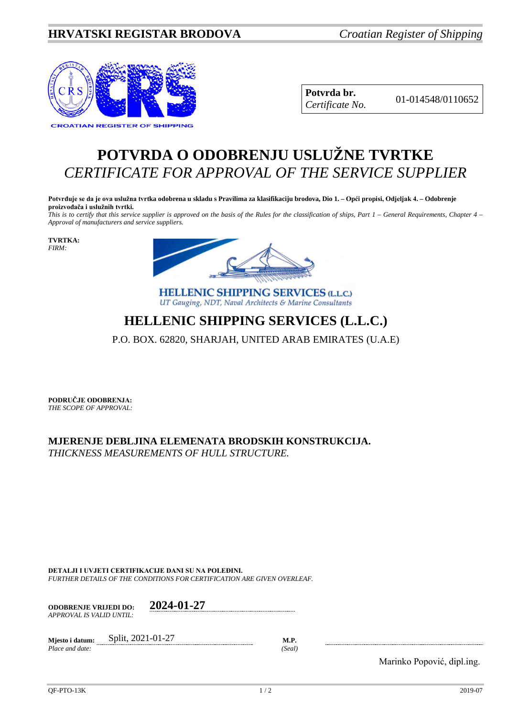## **HRVATSKI REGISTAR BRODOVA** *Croatian Register of Shipping*



**Potvrda br.** 01-014548/0110652 *Certificate No.*

## **POTVRDA O ODOBRENJU USLUŽNE TVRTKE** *CERTIFICATE FOR APPROVAL OF THE SERVICE SUPPLIER*

**Potvrđuje se da je ova uslužna tvrtka odobrena u skladu s Pravilima za klasifikaciju brodova, Dio 1. – Opći propisi, Odjeljak 4. – Odobrenje proizvođača i uslužnih tvrtki.**

*This is to certify that this service supplier is approved on the basis of the Rules for the classification of ships, Part 1 – General Requirements, Chapter 4 – Approval of manufacturers and service suppliers.*

**TVRTKA:** *FIRM:*



**HELLENIC SHIPPING SERVICES (L.L.C.)** UT Gauging, NDT, Naval Architects & Marine Consultants

## **HELLENIC SHIPPING SERVICES (L.L.C.)**

P.O. BOX. 62820, SHARJAH, UNITED ARAB EMIRATES (U.A.E)

**PODRUČJE ODOBRENJA:** *THE SCOPE OF APPROVAL:*

**MJERENJE DEBLJINA ELEMENATA BRODSKIH KONSTRUKCIJA.** *THICKNESS MEASUREMENTS OF HULL STRUCTURE.*

**DETALJI I UVJETI CERTIFIKACIJE DANI SU NA POLEĐINI.** *FURTHER DETAILS OF THE CONDITIONS FOR CERTIFICATION ARE GIVEN OVERLEAF.*

| <b>ODOBRENJE VRLJEDI DO:</b> | 2024-01-27 |
|------------------------------|------------|
| APPROVAL IS VALID UNTIL:     |            |

| Miesto i datum: | Split, 2021-01-27 | M.P   |
|-----------------|-------------------|-------|
| Place and date: |                   | 'Seal |

Marinko Popović, dipl.ing.